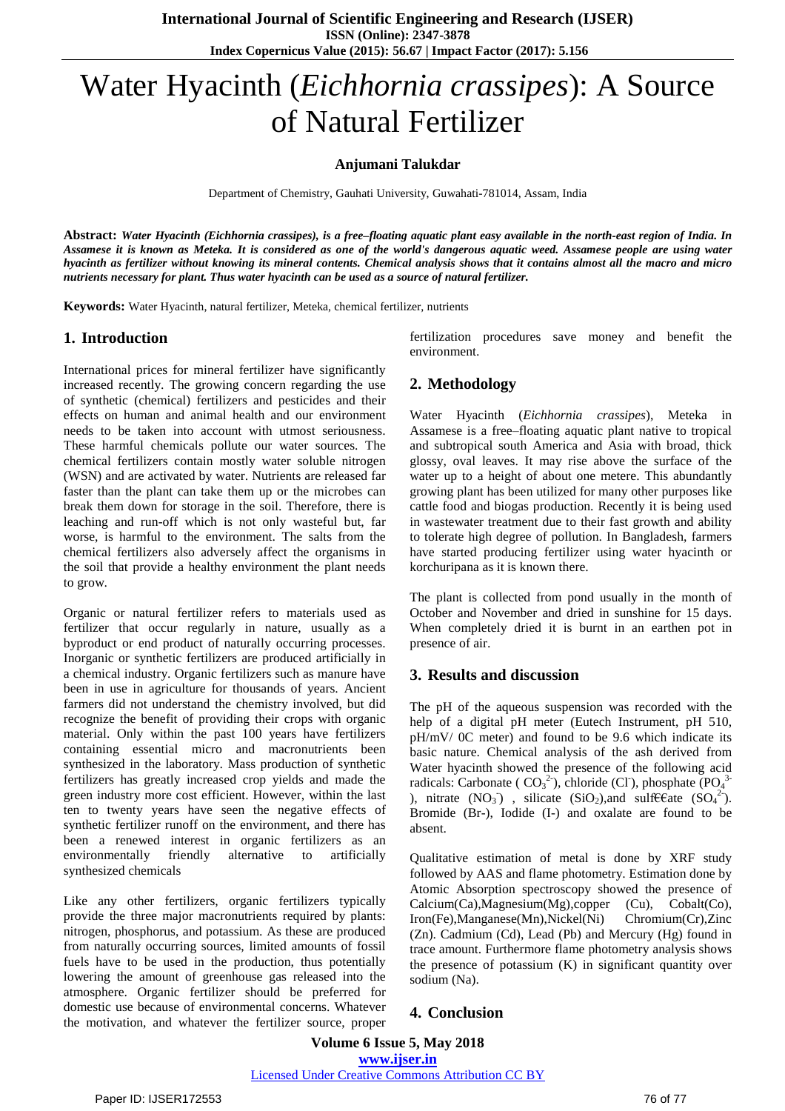# Water Hyacinth (*Eichhornia crassipes*): A Source of Natural Fertilizer

#### **Anjumani Talukdar**

Department of Chemistry, Gauhati University, Guwahati-781014, Assam, India

Abstract: Water Hyacinth (Eichhornia crassipes), is a free-floating aquatic plant easy available in the north-east region of India. In Assamese it is known as Meteka. It is considered as one of the world's dangerous aquatic weed. Assamese people are using water hyacinth as fertilizer without knowing its mineral contents. Chemical analysis shows that it contains almost all the macro and micro *nutrients necessary for plant. Thus water hyacinth can be used as a source of natural fertilizer.*

**Keywords:** Water Hyacinth, natural fertilizer, Meteka, chemical fertilizer, nutrients

#### **1. Introduction**

International prices for mineral fertilizer have significantly increased recently. The growing concern regarding the use of synthetic (chemical) fertilizers and pesticides and their effects on human and animal health and our environment needs to be taken into account with utmost seriousness. These harmful chemicals pollute our water sources. The chemical fertilizers contain mostly water soluble nitrogen (WSN) and are activated by water. Nutrients are released far faster than the plant can take them up or the microbes can break them down for storage in the soil. Therefore, there is leaching and run-off which is not only wasteful but, far worse, is harmful to the environment. The salts from the chemical fertilizers also adversely affect the organisms in the soil that provide a healthy environment the plant needs to grow.

Organic or natural fertilizer refers to materials used as fertilizer that occur regularly in nature, usually as a byproduct or end product of naturally occurring processes. Inorganic or synthetic fertilizers are produced artificially in a chemical industry. Organic fertilizers such as manure have been in use in agriculture for thousands of years. Ancient farmers did not understand the chemistry involved, but did recognize the benefit of providing their crops with organic material. Only within the past 100 years have fertilizers containing essential micro and macronutrients been synthesized in the laboratory. Mass production of synthetic fertilizers has greatly increased crop yields and made the green industry more cost efficient. However, within the last ten to twenty years have seen the negative effects of synthetic fertilizer runoff on the environment, and there has been a renewed interest in organic fertilizers as an environmentally friendly alternative to artificially synthesized chemicals

Like any other fertilizers, organic fertilizers typically provide the three major macronutrients required by plants: nitrogen, phosphorus, and potassium. As these are produced from naturally occurring sources, limited amounts of fossil fuels have to be used in the production, thus potentially lowering the amount of greenhouse gas released into the atmosphere. Organic fertilizer should be preferred for domestic use because of environmental concerns. Whatever the motivation, and whatever the fertilizer source, proper fertilization procedures save money and benefit the environment.

# **2. Methodology**

Water Hyacinth (*Eichhornia crassipes*), Meteka in Assamese is a free–floating aquatic plant native to tropical and subtropical south America and Asia with broad, thick glossy, oval leaves. It may rise above the surface of the water up to a height of about one metere. This abundantly growing plant has been utilized for many other purposes like cattle food and biogas production. Recently it is being used in wastewater treatment due to their fast growth and ability to tolerate high degree of pollution. In Bangladesh, farmers have started producing fertilizer using water hyacinth or korchuripana as it is known there.

The plant is collected from pond usually in the month of October and November and dried in sunshine for 15 days. When completely dried it is burnt in an earthen pot in presence of air.

## **3. Results and discussion**

The pH of the aqueous suspension was recorded with the help of a digital pH meter (Eutech Instrument, pH 510, pH/mV/ 0C meter) and found to be 9.6 which indicate its basic nature. Chemical analysis of the ash derived from Water hyacinth showed the presence of the following acid radicals: Carbonate ( $CO<sub>3</sub><sup>2</sup>$ ), chloride (Cl), phosphate (PO<sub>4</sub><sup>3</sup> ), nitrate  $(NO_3^-)$ , silicate  $(SiO_2)$ , and sulft Eate  $(SO_4^2)$ . Bromide (Br-), Iodide (I-) and oxalate are found to be absent.

Qualitative estimation of metal is done by XRF study followed by AAS and flame photometry. Estimation done by Atomic Absorption spectroscopy showed the presence of Calcium(Ca),Magnesium(Mg),copper (Cu), Cobalt(Co), Iron(Fe),Manganese(Mn),Nickel(Ni) Chromium(Cr),Zinc (Zn). Cadmium (Cd), Lead (Pb) and Mercury (Hg) found in trace amount. Furthermore flame photometry analysis shows the presence of potassium (K) in significant quantity over sodium (Na).

## **4. Conclusion**

**Volume 6 Issue 5, May 2018 [www.ijser.in](file:///G:\www.ijser.in\Documents\www.ijser.in)** [Licensed Under Creative Commons Attribution CC BY](http://creativecommons.org/licenses/by/4.0/)